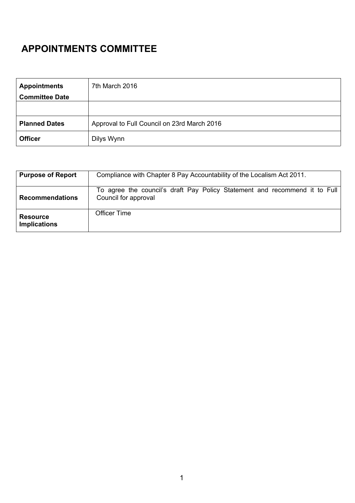# **APPOINTMENTS COMMITTEE**

| <b>Appointments</b>   | 7th March 2016                              |  |
|-----------------------|---------------------------------------------|--|
| <b>Committee Date</b> |                                             |  |
|                       |                                             |  |
|                       |                                             |  |
| <b>Planned Dates</b>  | Approval to Full Council on 23rd March 2016 |  |
| <b>Officer</b>        | Dilys Wynn                                  |  |

| <b>Purpose of Report</b>               | Compliance with Chapter 8 Pay Accountability of the Localism Act 2011.                             |  |  |
|----------------------------------------|----------------------------------------------------------------------------------------------------|--|--|
| <b>Recommendations</b>                 | To agree the council's draft Pay Policy Statement and recommend it to Full<br>Council for approval |  |  |
| <b>Resource</b><br><b>Implications</b> | <b>Officer Time</b>                                                                                |  |  |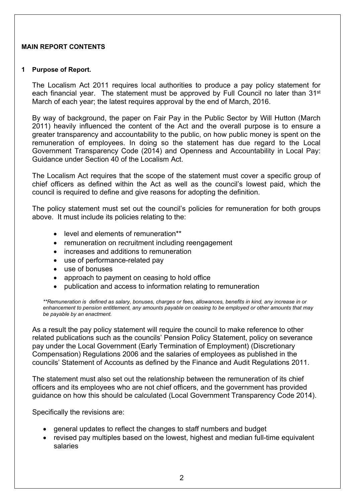### **MAIN REPORT CONTENTS**

#### **1 Purpose of Report.**

The Localism Act 2011 requires local authorities to produce a pay policy statement for each financial year. The statement must be approved by Full Council no later than 31<sup>st</sup> March of each year; the latest requires approval by the end of March, 2016.

By way of background, the paper on Fair Pay in the Public Sector by Will Hutton (March 2011) heavily influenced the content of the Act and the overall purpose is to ensure a greater transparency and accountability to the public, on how public money is spent on the remuneration of employees. In doing so the statement has due regard to the Local Government Transparency Code (2014) and Openness and Accountability in Local Pay: Guidance under Section 40 of the Localism Act.

The Localism Act requires that the scope of the statement must cover a specific group of chief officers as defined within the Act as well as the council's lowest paid, which the council is required to define and give reasons for adopting the definition.

The policy statement must set out the council's policies for remuneration for both groups above. It must include its policies relating to the:

- level and elements of remuneration\*\*
- remuneration on recruitment including reengagement
- increases and additions to remuneration
- use of performance-related pay
- use of bonuses
- approach to payment on ceasing to hold office
- publication and access to information relating to remuneration

*\*\*Remuneration is defined as salary, bonuses, charges or fees, allowances, benefits in kind, any increase in or* enhancement to pension entitlement, any amounts payable on ceasing to be employed or other amounts that may *be payable by an enactment.*

As a result the pay policy statement will require the council to make reference to other related publications such as the councils' Pension Policy Statement, policy on severance pay under the Local Government (Early Termination of Employment) (Discretionary Compensation) Regulations 2006 and the salaries of employees as published in the councils' Statement of Accounts as defined by the Finance and Audit Regulations 2011.

The statement must also set out the relationship between the remuneration of its chief officers and its employees who are not chief officers, and the government has provided guidance on how this should be calculated (Local Government Transparency Code 2014).

Specifically the revisions are:

- general updates to reflect the changes to staff numbers and budget
- revised pay multiples based on the lowest, highest and median full-time equivalent salaries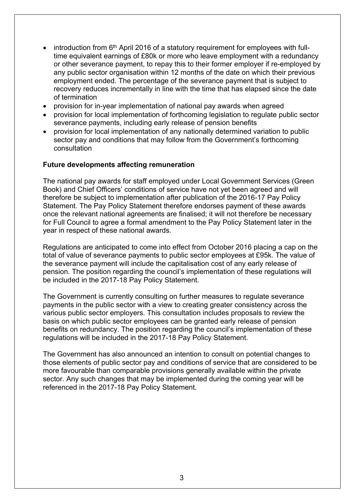- introduction from 6<sup>th</sup> April 2016 of a statutory requirement for employees with fulltime equivalent earnings of £80k or more who leave employment with a redundancy or other severance payment, to repay this to their former employer if re-employed by any public sector organisation within 12 months of the date on which their previous employment ended. The percentage of the severance payment that is subject to recovery reduces incrementally in line with the time that has elapsed since the date of termination
- provision for in-year implementation of national pay awards when agreed
- provision for local implementation of forthcoming legislation to regulate public sector severance payments, including early release of pension benefits
- provision for local implementation of any nationally determined variation to public sector pay and conditions that may follow from the Government's forthcoming consultation

### **Future developments affecting remuneration**

The national pay awards for staff employed under Local Government Services (Green Book) and Chief Officers' conditions of service have not yet been agreed and will therefore be subject to implementation after publication of the 2016-17 Pay Policy Statement. The Pay Policy Statement therefore endorses payment of these awards once the relevant national agreements are finalised; it will not therefore be necessary for Full Council to agree a formal amendment to the Pay Policy Statement later in the year in respect of these national awards.

Regulations are anticipated to come into effect from October 2016 placing a cap on the total of value of severance payments to public sector employees at £95k. The value of the severance payment will include the capitalisation cost of any early release of pension. The position regarding the council's implementation of these regulations will be included in the 2017-18 Pay Policy Statement.

The Government is currently consulting on further measures to regulate severance payments in the public sector with a view to creating greater consistency across the various public sector employers. This consultation includes proposals to review the basis on which public sector employees can be granted early release of pension benefits on redundancy. The position regarding the council's implementation of these regulations will be included in the 2017-18 Pay Policy Statement.

The Government has also announced an intention to consult on potential changes to those elements of public sector pay and conditions of service that are considered to be more favourable than comparable provisions generally available within the private sector. Any such changes that may be implemented during the coming year will be referenced in the 2017-18 Pay Policy Statement.